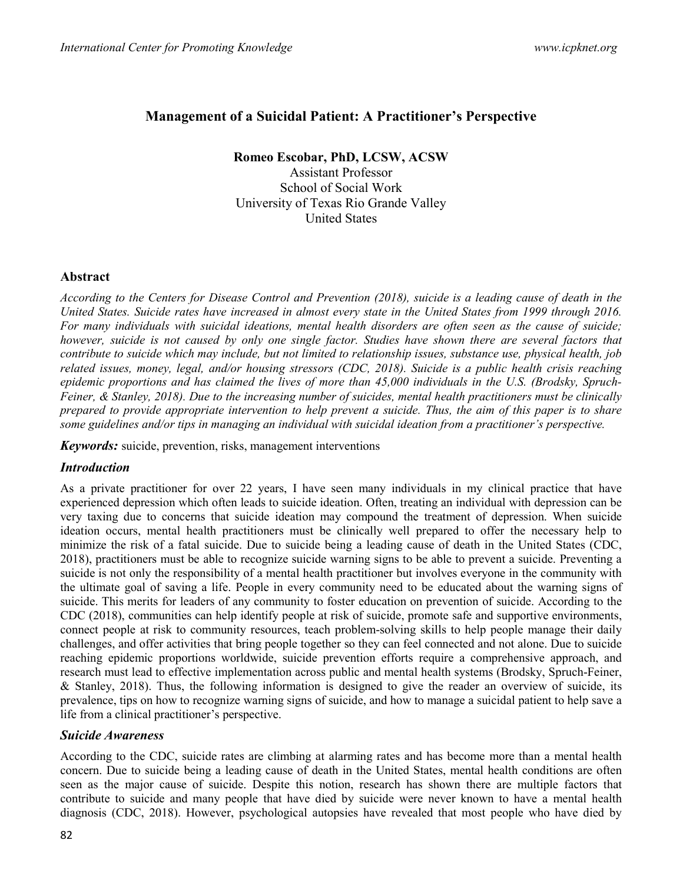# Management of a Suicidal Patient: A Practitioner's Perspective

# Romeo Escobar, PhD, LCSW, ACSW

Assistant Professor School of Social Work University of Texas Rio Grande Valley United States

#### Abstract

According to the Centers for Disease Control and Prevention (2018), suicide is a leading cause of death in the United States. Suicide rates have increased in almost every state in the United States from 1999 through 2016. For many individuals with suicidal ideations, mental health disorders are often seen as the cause of suicide; however, suicide is not caused by only one single factor. Studies have shown there are several factors that contribute to suicide which may include, but not limited to relationship issues, substance use, physical health, job related issues, money, legal, and/or housing stressors (CDC, 2018). Suicide is a public health crisis reaching epidemic proportions and has claimed the lives of more than 45,000 individuals in the U.S. (Brodsky, Spruch-Feiner, & Stanley, 2018). Due to the increasing number of suicides, mental health practitioners must be clinically prepared to provide appropriate intervention to help prevent a suicide. Thus, the aim of this paper is to share some guidelines and/or tips in managing an individual with suicidal ideation from a practitioner's perspective.

Keywords: suicide, prevention, risks, management interventions

## Introduction

As a private practitioner for over 22 years, I have seen many individuals in my clinical practice that have experienced depression which often leads to suicide ideation. Often, treating an individual with depression can be very taxing due to concerns that suicide ideation may compound the treatment of depression. When suicide ideation occurs, mental health practitioners must be clinically well prepared to offer the necessary help to minimize the risk of a fatal suicide. Due to suicide being a leading cause of death in the United States (CDC, 2018), practitioners must be able to recognize suicide warning signs to be able to prevent a suicide. Preventing a suicide is not only the responsibility of a mental health practitioner but involves everyone in the community with the ultimate goal of saving a life. People in every community need to be educated about the warning signs of suicide. This merits for leaders of any community to foster education on prevention of suicide. According to the CDC (2018), communities can help identify people at risk of suicide, promote safe and supportive environments, connect people at risk to community resources, teach problem-solving skills to help people manage their daily challenges, and offer activities that bring people together so they can feel connected and not alone. Due to suicide reaching epidemic proportions worldwide, suicide prevention efforts require a comprehensive approach, and research must lead to effective implementation across public and mental health systems (Brodsky, Spruch-Feiner, & Stanley, 2018). Thus, the following information is designed to give the reader an overview of suicide, its prevalence, tips on how to recognize warning signs of suicide, and how to manage a suicidal patient to help save a life from a clinical practitioner's perspective.

## Suicide Awareness

According to the CDC, suicide rates are climbing at alarming rates and has become more than a mental health concern. Due to suicide being a leading cause of death in the United States, mental health conditions are often seen as the major cause of suicide. Despite this notion, research has shown there are multiple factors that contribute to suicide and many people that have died by suicide were never known to have a mental health diagnosis (CDC, 2018). However, psychological autopsies have revealed that most people who have died by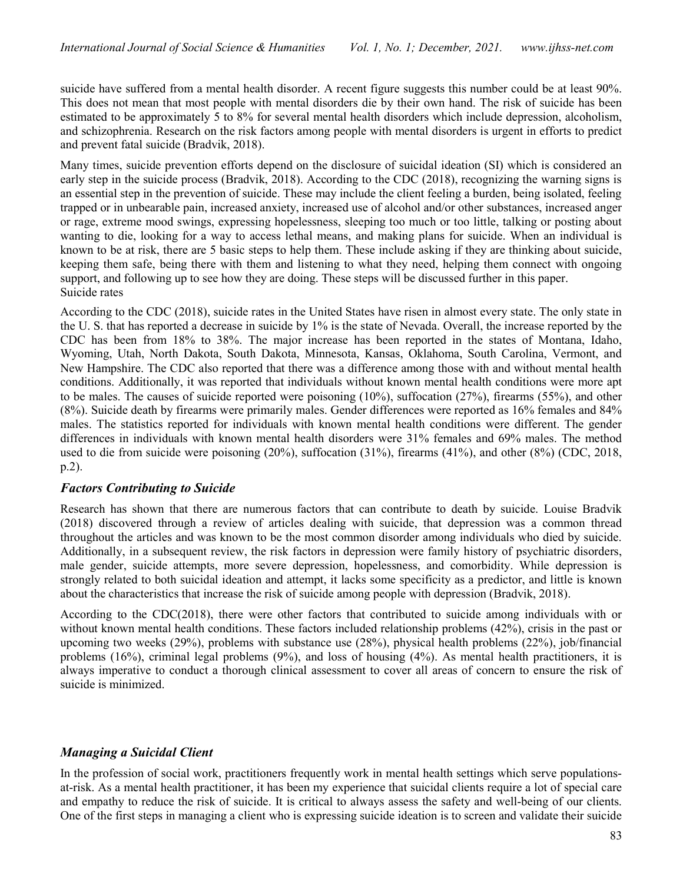suicide have suffered from a mental health disorder. A recent figure suggests this number could be at least 90%. This does not mean that most people with mental disorders die by their own hand. The risk of suicide has been estimated to be approximately 5 to 8% for several mental health disorders which include depression, alcoholism, and schizophrenia. Research on the risk factors among people with mental disorders is urgent in efforts to predict and prevent fatal suicide (Bradvik, 2018).

Many times, suicide prevention efforts depend on the disclosure of suicidal ideation (SI) which is considered an early step in the suicide process (Bradvik, 2018). According to the CDC (2018), recognizing the warning signs is an essential step in the prevention of suicide. These may include the client feeling a burden, being isolated, feeling trapped or in unbearable pain, increased anxiety, increased use of alcohol and/or other substances, increased anger or rage, extreme mood swings, expressing hopelessness, sleeping too much or too little, talking or posting about wanting to die, looking for a way to access lethal means, and making plans for suicide. When an individual is known to be at risk, there are 5 basic steps to help them. These include asking if they are thinking about suicide, keeping them safe, being there with them and listening to what they need, helping them connect with ongoing support, and following up to see how they are doing. These steps will be discussed further in this paper. Suicide rates

According to the CDC (2018), suicide rates in the United States have risen in almost every state. The only state in the U. S. that has reported a decrease in suicide by 1% is the state of Nevada. Overall, the increase reported by the CDC has been from 18% to 38%. The major increase has been reported in the states of Montana, Idaho, Wyoming, Utah, North Dakota, South Dakota, Minnesota, Kansas, Oklahoma, South Carolina, Vermont, and New Hampshire. The CDC also reported that there was a difference among those with and without mental health conditions. Additionally, it was reported that individuals without known mental health conditions were more apt to be males. The causes of suicide reported were poisoning (10%), suffocation (27%), firearms (55%), and other (8%). Suicide death by firearms were primarily males. Gender differences were reported as 16% females and 84% males. The statistics reported for individuals with known mental health conditions were different. The gender differences in individuals with known mental health disorders were 31% females and 69% males. The method used to die from suicide were poisoning (20%), suffocation (31%), firearms (41%), and other (8%) (CDC, 2018, p.2).

## Factors Contributing to Suicide

Research has shown that there are numerous factors that can contribute to death by suicide. Louise Bradvik (2018) discovered through a review of articles dealing with suicide, that depression was a common thread throughout the articles and was known to be the most common disorder among individuals who died by suicide. Additionally, in a subsequent review, the risk factors in depression were family history of psychiatric disorders, male gender, suicide attempts, more severe depression, hopelessness, and comorbidity. While depression is strongly related to both suicidal ideation and attempt, it lacks some specificity as a predictor, and little is known about the characteristics that increase the risk of suicide among people with depression (Bradvik, 2018).

According to the CDC(2018), there were other factors that contributed to suicide among individuals with or without known mental health conditions. These factors included relationship problems (42%), crisis in the past or upcoming two weeks (29%), problems with substance use (28%), physical health problems (22%), job/financial problems (16%), criminal legal problems (9%), and loss of housing (4%). As mental health practitioners, it is always imperative to conduct a thorough clinical assessment to cover all areas of concern to ensure the risk of suicide is minimized.

## Managing a Suicidal Client

In the profession of social work, practitioners frequently work in mental health settings which serve populationsat-risk. As a mental health practitioner, it has been my experience that suicidal clients require a lot of special care and empathy to reduce the risk of suicide. It is critical to always assess the safety and well-being of our clients. One of the first steps in managing a client who is expressing suicide ideation is to screen and validate their suicide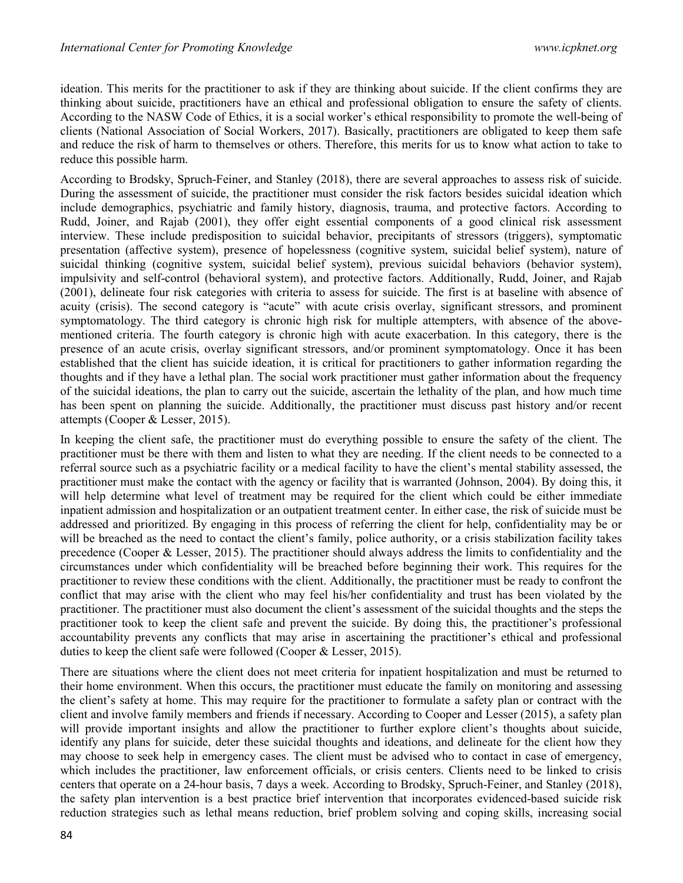ideation. This merits for the practitioner to ask if they are thinking about suicide. If the client confirms they are thinking about suicide, practitioners have an ethical and professional obligation to ensure the safety of clients. According to the NASW Code of Ethics, it is a social worker's ethical responsibility to promote the well-being of clients (National Association of Social Workers, 2017). Basically, practitioners are obligated to keep them safe and reduce the risk of harm to themselves or others. Therefore, this merits for us to know what action to take to reduce this possible harm.

According to Brodsky, Spruch-Feiner, and Stanley (2018), there are several approaches to assess risk of suicide. During the assessment of suicide, the practitioner must consider the risk factors besides suicidal ideation which include demographics, psychiatric and family history, diagnosis, trauma, and protective factors. According to Rudd, Joiner, and Rajab (2001), they offer eight essential components of a good clinical risk assessment interview. These include predisposition to suicidal behavior, precipitants of stressors (triggers), symptomatic presentation (affective system), presence of hopelessness (cognitive system, suicidal belief system), nature of suicidal thinking (cognitive system, suicidal belief system), previous suicidal behaviors (behavior system), impulsivity and self-control (behavioral system), and protective factors. Additionally, Rudd, Joiner, and Rajab (2001), delineate four risk categories with criteria to assess for suicide. The first is at baseline with absence of acuity (crisis). The second category is "acute" with acute crisis overlay, significant stressors, and prominent symptomatology. The third category is chronic high risk for multiple attempters, with absence of the abovementioned criteria. The fourth category is chronic high with acute exacerbation. In this category, there is the presence of an acute crisis, overlay significant stressors, and/or prominent symptomatology. Once it has been established that the client has suicide ideation, it is critical for practitioners to gather information regarding the thoughts and if they have a lethal plan. The social work practitioner must gather information about the frequency of the suicidal ideations, the plan to carry out the suicide, ascertain the lethality of the plan, and how much time has been spent on planning the suicide. Additionally, the practitioner must discuss past history and/or recent attempts (Cooper & Lesser, 2015).

In keeping the client safe, the practitioner must do everything possible to ensure the safety of the client. The practitioner must be there with them and listen to what they are needing. If the client needs to be connected to a referral source such as a psychiatric facility or a medical facility to have the client's mental stability assessed, the practitioner must make the contact with the agency or facility that is warranted (Johnson, 2004). By doing this, it will help determine what level of treatment may be required for the client which could be either immediate inpatient admission and hospitalization or an outpatient treatment center. In either case, the risk of suicide must be addressed and prioritized. By engaging in this process of referring the client for help, confidentiality may be or will be breached as the need to contact the client's family, police authority, or a crisis stabilization facility takes precedence (Cooper & Lesser, 2015). The practitioner should always address the limits to confidentiality and the circumstances under which confidentiality will be breached before beginning their work. This requires for the practitioner to review these conditions with the client. Additionally, the practitioner must be ready to confront the conflict that may arise with the client who may feel his/her confidentiality and trust has been violated by the practitioner. The practitioner must also document the client's assessment of the suicidal thoughts and the steps the practitioner took to keep the client safe and prevent the suicide. By doing this, the practitioner's professional accountability prevents any conflicts that may arise in ascertaining the practitioner's ethical and professional duties to keep the client safe were followed (Cooper & Lesser, 2015).

There are situations where the client does not meet criteria for inpatient hospitalization and must be returned to their home environment. When this occurs, the practitioner must educate the family on monitoring and assessing the client's safety at home. This may require for the practitioner to formulate a safety plan or contract with the client and involve family members and friends if necessary. According to Cooper and Lesser (2015), a safety plan will provide important insights and allow the practitioner to further explore client's thoughts about suicide, identify any plans for suicide, deter these suicidal thoughts and ideations, and delineate for the client how they may choose to seek help in emergency cases. The client must be advised who to contact in case of emergency, which includes the practitioner, law enforcement officials, or crisis centers. Clients need to be linked to crisis centers that operate on a 24-hour basis, 7 days a week. According to Brodsky, Spruch-Feiner, and Stanley (2018), the safety plan intervention is a best practice brief intervention that incorporates evidenced-based suicide risk reduction strategies such as lethal means reduction, brief problem solving and coping skills, increasing social